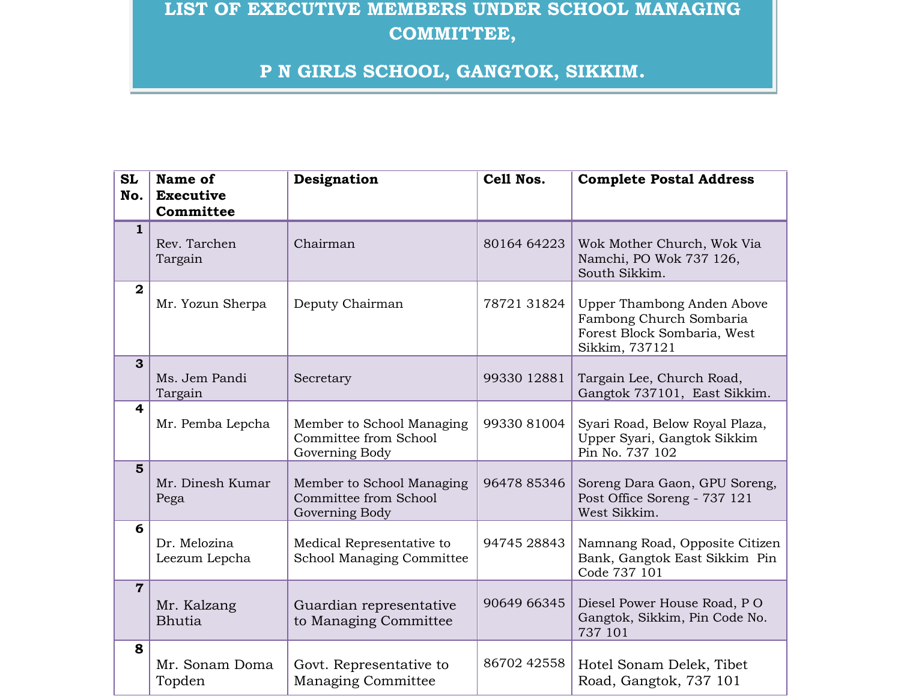## **LIST OF EXECUTIVE MEMBERS UNDER SCHOOL MANAGING COMMITTEE,**

## **P N GIRLS SCHOOL, GANGTOK, SIKKIM.**

| <b>SL</b>               | Name of                       | Designation                                                          | Cell Nos.   | <b>Complete Postal Address</b>                                                                         |
|-------------------------|-------------------------------|----------------------------------------------------------------------|-------------|--------------------------------------------------------------------------------------------------------|
| No.                     | <b>Executive</b>              |                                                                      |             |                                                                                                        |
|                         | Committee                     |                                                                      |             |                                                                                                        |
| $\mathbf{1}$            | Rev. Tarchen<br>Targain       | Chairman                                                             | 80164 64223 | Wok Mother Church, Wok Via<br>Namchi, PO Wok 737 126,<br>South Sikkim.                                 |
| $\overline{\mathbf{2}}$ | Mr. Yozun Sherpa              | Deputy Chairman                                                      | 78721 31824 | Upper Thambong Anden Above<br>Fambong Church Sombaria<br>Forest Block Sombaria, West<br>Sikkim, 737121 |
| $\mathbf{3}$            | Ms. Jem Pandi<br>Targain      | Secretary                                                            | 99330 12881 | Targain Lee, Church Road,<br>Gangtok 737101, East Sikkim.                                              |
| 4                       | Mr. Pemba Lepcha              | Member to School Managing<br>Committee from School<br>Governing Body | 99330 81004 | Syari Road, Below Royal Plaza,<br>Upper Syari, Gangtok Sikkim<br>Pin No. 737 102                       |
| $5\phantom{1}$          | Mr. Dinesh Kumar<br>Pega      | Member to School Managing<br>Committee from School<br>Governing Body | 96478 85346 | Soreng Dara Gaon, GPU Soreng,<br>Post Office Soreng - 737 121<br>West Sikkim.                          |
| 6                       | Dr. Melozina<br>Leezum Lepcha | Medical Representative to<br>School Managing Committee               | 94745 28843 | Namnang Road, Opposite Citizen<br>Bank, Gangtok East Sikkim Pin<br>Code 737 101                        |
| $\overline{7}$          | Mr. Kalzang<br><b>Bhutia</b>  | Guardian representative<br>to Managing Committee                     | 90649 66345 | Diesel Power House Road, PO<br>Gangtok, Sikkim, Pin Code No.<br>737 101                                |
| 8                       | Mr. Sonam Doma<br>Topden      | Govt. Representative to<br><b>Managing Committee</b>                 | 86702 42558 | Hotel Sonam Delek, Tibet<br>Road, Gangtok, 737 101                                                     |